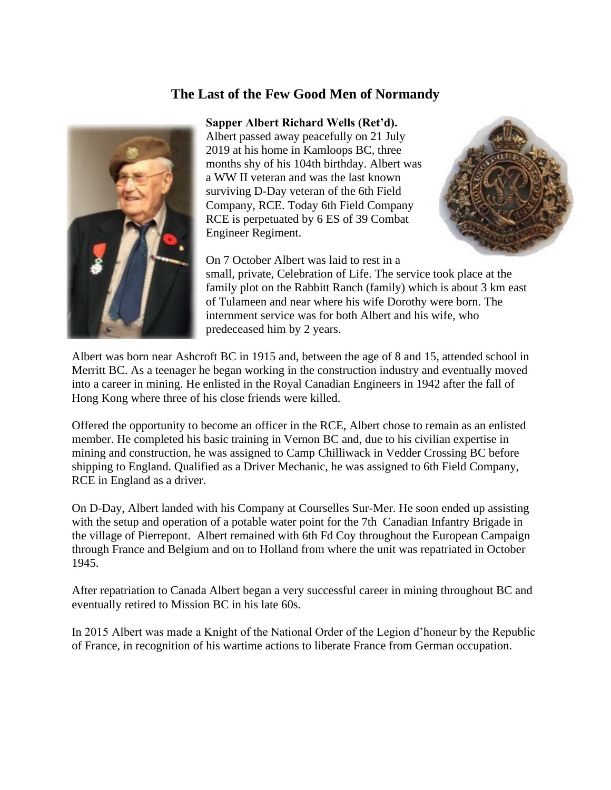## **The Last of the Few Good Men of Normandy**



## **Sapper Albert Richard Wells (Ret'd).**

Albert passed away peacefully on 21 July 2019 at his home in Kamloops BC, three months shy of his 104th birthday. Albert was a WW II veteran and was the last known surviving D-Day veteran of the 6th Field Company, RCE. Today 6th Field Company RCE is perpetuated by 6 ES of 39 Combat Engineer Regiment.



On 7 October Albert was laid to rest in a

small, private, Celebration of Life. The service took place at the family plot on the Rabbitt Ranch (family) which is about 3 km east of Tulameen and near where his wife Dorothy were born. The internment service was for both Albert and his wife, who predeceased him by 2 years.

Albert was born near Ashcroft BC in 1915 and, between the age of 8 and 15, attended school in Merritt BC. As a teenager he began working in the construction industry and eventually moved into a career in mining. He enlisted in the Royal Canadian Engineers in 1942 after the fall of Hong Kong where three of his close friends were killed.

Offered the opportunity to become an officer in the RCE, Albert chose to remain as an enlisted member. He completed his basic training in Vernon BC and, due to his civilian expertise in mining and construction, he was assigned to Camp Chilliwack in Vedder Crossing BC before shipping to England. Qualified as a Driver Mechanic, he was assigned to 6th Field Company, RCE in England as a driver.

On D-Day, Albert landed with his Company at Courselles Sur-Mer. He soon ended up assisting with the setup and operation of a potable water point for the 7th Canadian Infantry Brigade in the village of Pierrepont. Albert remained with 6th Fd Coy throughout the European Campaign through France and Belgium and on to Holland from where the unit was repatriated in October 1945.

After repatriation to Canada Albert began a very successful career in mining throughout BC and eventually retired to Mission BC in his late 60s.

In 2015 Albert was made a Knight of the National Order of the Legion d'honeur by the Republic of France, in recognition of his wartime actions to liberate France from German occupation.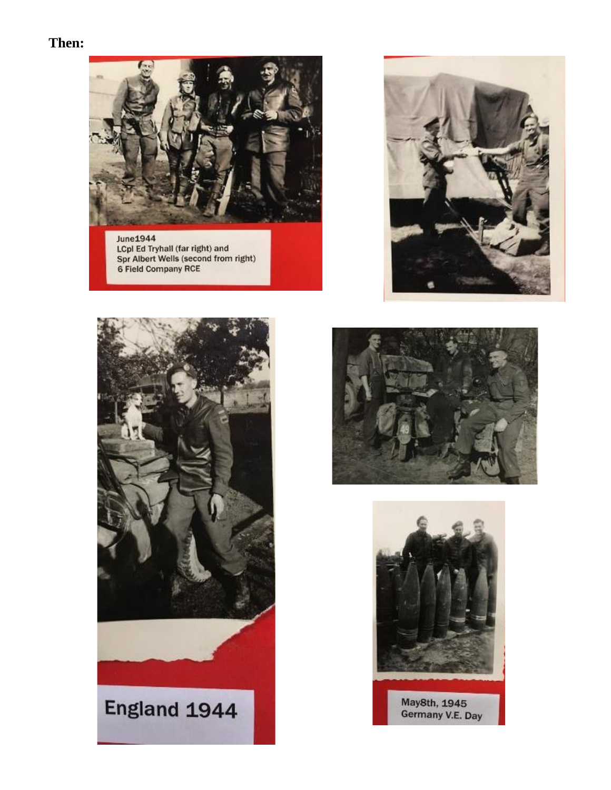## Then:



June1944<br>
LCpl Ed Tryhall (far right) and<br>
Spr Albert Wells (second from right)<br>
6 Field Company RCE